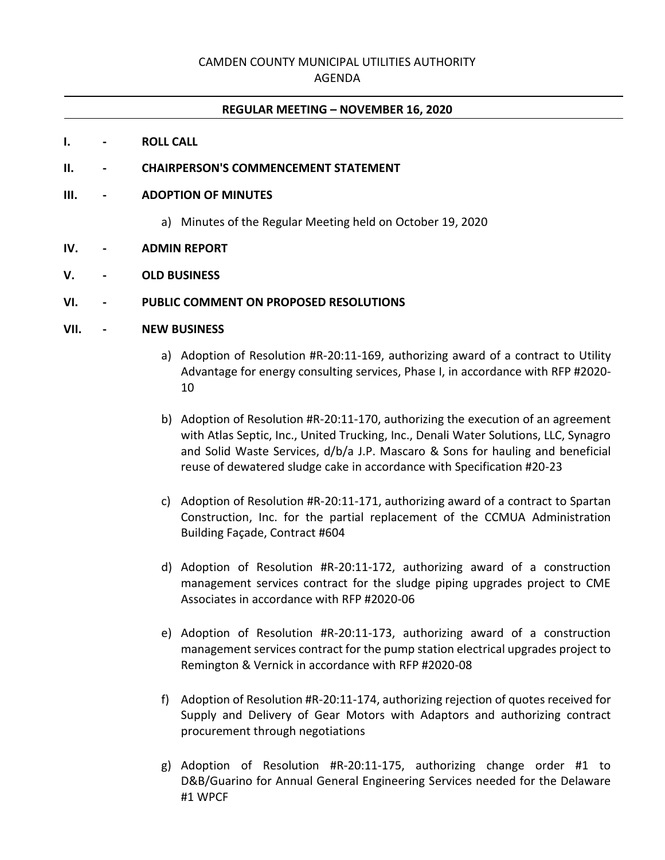## CAMDEN COUNTY MUNICIPAL UTILITIES AUTHORITY

## AGENDA

#### **REGULAR MEETING – NOVEMBER 16, 2020**

#### **I. - ROLL CALL**

#### **II. - CHAIRPERSON'S COMMENCEMENT STATEMENT**

#### **III. - ADOPTION OF MINUTES**

a) Minutes of the Regular Meeting held on October 19, 2020

#### **IV. - ADMIN REPORT**

## **V. - OLD BUSINESS**

## **VI. - PUBLIC COMMENT ON PROPOSED RESOLUTIONS**

## **VII. - NEW BUSINESS**

- a) Adoption of Resolution #R-20:11-169, authorizing award of a contract to Utility Advantage for energy consulting services, Phase I, in accordance with RFP #2020- 10
- b) Adoption of Resolution #R-20:11-170, authorizing the execution of an agreement with Atlas Septic, Inc., United Trucking, Inc., Denali Water Solutions, LLC, Synagro and Solid Waste Services, d/b/a J.P. Mascaro & Sons for hauling and beneficial reuse of dewatered sludge cake in accordance with Specification #20-23
- c) Adoption of Resolution #R-20:11-171, authorizing award of a contract to Spartan Construction, Inc. for the partial replacement of the CCMUA Administration Building Façade, Contract #604
- d) Adoption of Resolution #R-20:11-172, authorizing award of a construction management services contract for the sludge piping upgrades project to CME Associates in accordance with RFP #2020-06
- e) Adoption of Resolution #R-20:11-173, authorizing award of a construction management services contract for the pump station electrical upgrades project to Remington & Vernick in accordance with RFP #2020-08
- f) Adoption of Resolution #R-20:11-174, authorizing rejection of quotes received for Supply and Delivery of Gear Motors with Adaptors and authorizing contract procurement through negotiations
- g) Adoption of Resolution #R-20:11-175, authorizing change order #1 to D&B/Guarino for Annual General Engineering Services needed for the Delaware #1 WPCF